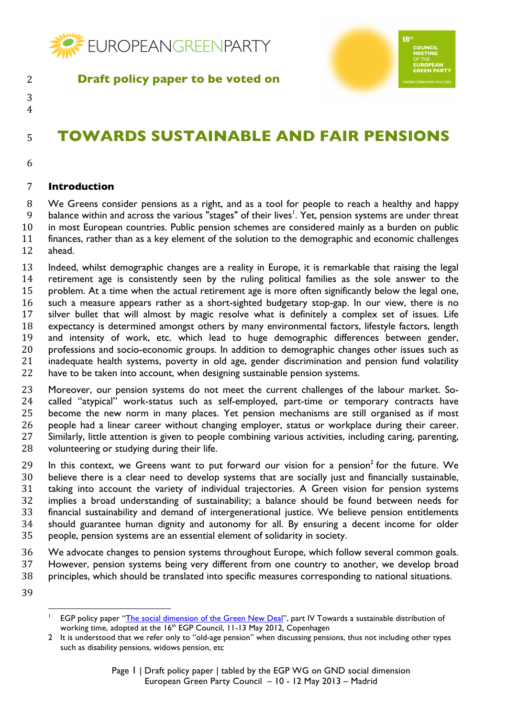

 

# **TOWARDS SUSTAINABLE AND FAIR PENSIONS**

 $18<sup>th</sup>$ 

## **Introduction**

 We Greens consider pensions as a right, and as a tool for people to reach a healthy and happy 9 balance within and across the various "stages" of their lives<sup>1</sup>. Yet, pension systems are under threat in most European countries. Public pension schemes are considered mainly as a burden on public finances, rather than as a key element of the solution to the demographic and economic challenges ahead.

 Indeed, whilst demographic changes are a reality in Europe, it is remarkable that raising the legal retirement age is consistently seen by the ruling political families as the sole answer to the problem. At a time when the actual retirement age is more often significantly below the legal one, such a measure appears rather as a short-sighted budgetary stop-gap. In our view, there is no silver bullet that will almost by magic resolve what is definitely a complex set of issues. Life expectancy is determined amongst others by many environmental factors, lifestyle factors, length and intensity of work, etc. which lead to huge demographic differences between gender, professions and socio-economic groups. In addition to demographic changes other issues such as inadequate health systems, poverty in old age, gender discrimination and pension fund volatility have to be taken into account, when designing sustainable pension systems.

 Moreover, our pension systems do not meet the current challenges of the labour market. So- called "atypical" work-status such as self-employed, part-time or temporary contracts have become the new norm in many places. Yet pension mechanisms are still organised as if most people had a linear career without changing employer, status or workplace during their career. Similarly, little attention is given to people combining various activities, including caring, parenting, 28 volunteering or studying during their life.

29 In this context, we Greens want to put forward our vision for a pension<sup>2</sup> for the future. We believe there is a clear need to develop systems that are socially just and financially sustainable, taking into account the variety of individual trajectories. A Green vision for pension systems implies a broad understanding of sustainability; a balance should be found between needs for financial sustainability and demand of intergenerational justice. We believe pension entitlements should guarantee human dignity and autonomy for all. By ensuring a decent income for older people, pension systems are an essential element of solidarity in society.

 We advocate changes to pension systems throughout Europe, which follow several common goals. However, pension systems being very different from one country to another, we develop broad principles, which should be translated into specific measures corresponding to national situations.

<sup>&</sup>quot;"""""""""""""""""""""""""""""""""""""""""""""""""""""" EGP policy paper "The social dimension of the Green New Deal", part IV Towards a sustainable distribution of working time, adopted at the 16<sup>th</sup> EGP Council, 11-13 May 2012, Copenhagen

 It is understood that we refer only to "old-age pension" when discussing pensions, thus not including other types such as disability pensions, widows pension, etc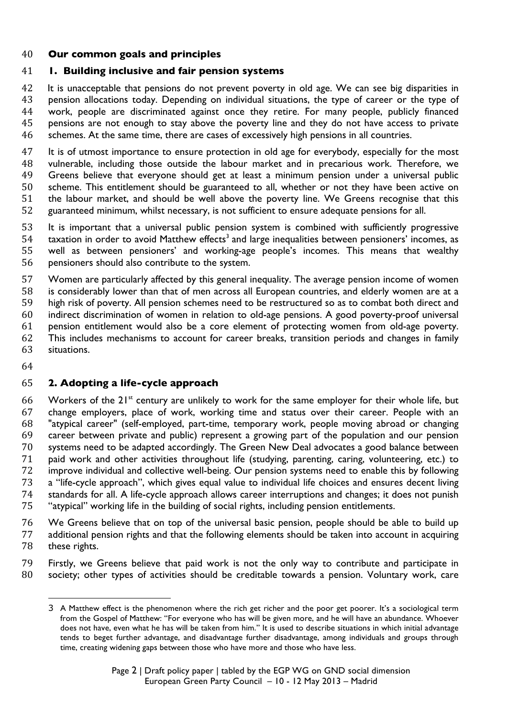### **Our common goals and principles**

#### **1. Building inclusive and fair pension systems**

42 It is unacceptable that pensions do not prevent poverty in old age. We can see big disparities in pension allocations today. Depending on individual situations, the type of career or the type of work, people are discriminated against once they retire. For many people, publicly financed pensions are not enough to stay above the poverty line and they do not have access to private schemes. At the same time, there are cases of excessively high pensions in all countries.

47 It is of utmost importance to ensure protection in old age for everybody, especially for the most vulnerable, including those outside the labour market and in precarious work. Therefore, we Greens believe that everyone should get at least a minimum pension under a universal public scheme. This entitlement should be guaranteed to all, whether or not they have been active on the labour market, and should be well above the poverty line. We Greens recognise that this guaranteed minimum, whilst necessary, is not sufficient to ensure adequate pensions for all.

 It is important that a universal public pension system is combined with sufficiently progressive taxation in order to avoid Matthew effects<sup>3</sup> and large inequalities between pensioners' incomes, as well as between pensioners' and working-age people's incomes. This means that wealthy pensioners should also contribute to the system.

 Women are particularly affected by this general inequality. The average pension income of women is considerably lower than that of men across all European countries, and elderly women are at a high risk of poverty. All pension schemes need to be restructured so as to combat both direct and indirect discrimination of women in relation to old-age pensions. A good poverty-proof universal pension entitlement would also be a core element of protecting women from old-age poverty. This includes mechanisms to account for career breaks, transition periods and changes in family situations.

### **2. Adopting a life-cycle approach**

"""""""""""""""""""""""""""""""""""""""""""""""""""""""

66 Workers of the  $21^{st}$  century are unlikely to work for the same employer for their whole life, but change employers, place of work, working time and status over their career. People with an "atypical career" (self-employed, part-time, temporary work, people moving abroad or changing career between private and public) represent a growing part of the population and our pension systems need to be adapted accordingly. The Green New Deal advocates a good balance between paid work and other activities throughout life (studying, parenting, caring, volunteering, etc.) to improve individual and collective well-being. Our pension systems need to enable this by following a "life-cycle approach", which gives equal value to individual life choices and ensures decent living standards for all. A life-cycle approach allows career interruptions and changes; it does not punish "atypical" working life in the building of social rights, including pension entitlements.

 We Greens believe that on top of the universal basic pension, people should be able to build up additional pension rights and that the following elements should be taken into account in acquiring these rights.

 Firstly, we Greens believe that paid work is not the only way to contribute and participate in society; other types of activities should be creditable towards a pension. Voluntary work, care

 A Matthew effect is the phenomenon where the rich get richer and the poor get poorer. It's a sociological term from the Gospel of Matthew: "For everyone who has will be given more, and he will have an abundance. Whoever does not have, even what he has will be taken from him." It is used to describe situations in which initial advantage tends to beget further advantage, and disadvantage further disadvantage, among individuals and groups through time, creating widening gaps between those who have more and those who have less.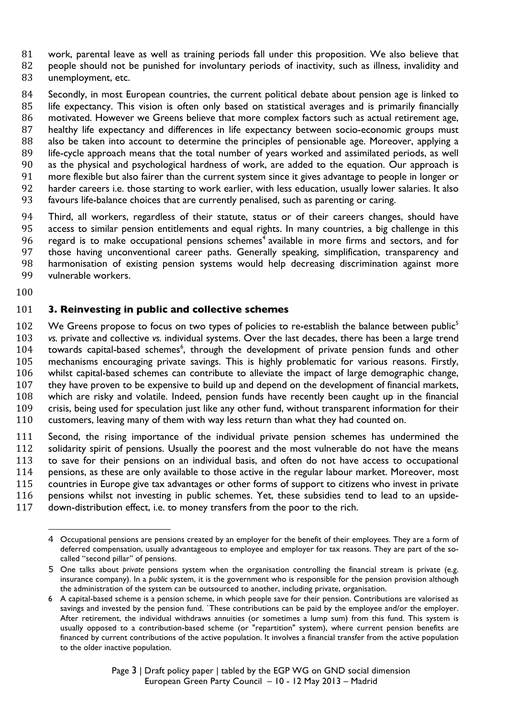work, parental leave as well as training periods fall under this proposition. We also believe that

82 people should not be punished for involuntary periods of inactivity, such as illness, invalidity and unemployment, etc.

84 Secondly, in most European countries, the current political debate about pension age is linked to life expectancy. This vision is often only based on statistical averages and is primarily financially motivated. However we Greens believe that more complex factors such as actual retirement age, healthy life expectancy and differences in life expectancy between socio-economic groups must also be taken into account to determine the principles of pensionable age. Moreover, applying a life-cycle approach means that the total number of years worked and assimilated periods, as well as the physical and psychological hardness of work, are added to the equation. Our approach is more flexible but also fairer than the current system since it gives advantage to people in longer or harder careers i.e. those starting to work earlier, with less education, usually lower salaries. It also favours life-balance choices that are currently penalised, such as parenting or caring.

 Third, all workers, regardless of their statute, status or of their careers changes, should have access to similar pension entitlements and equal rights. In many countries, a big challenge in this 96 regard is to make occupational pensions schemes<sup>4</sup> available in more firms and sectors, and for those having unconventional career paths. Generally speaking, simplification, transparency and harmonisation of existing pension systems would help decreasing discrimination against more vulnerable workers.

### **3. Reinvesting in public and collective schemes**

102 We Greens propose to focus on two types of policies to re-establish the balance between public<sup>5</sup> *vs.* private and collective *vs.* individual systems. Over the last decades, there has been a large trend 104 towards capital-based schemes<sup>6</sup>, through the development of private pension funds and other mechanisms encouraging private savings. This is highly problematic for various reasons. Firstly, whilst capital-based schemes can contribute to alleviate the impact of large demographic change, they have proven to be expensive to build up and depend on the development of financial markets, which are risky and volatile. Indeed, pension funds have recently been caught up in the financial crisis, being used for speculation just like any other fund, without transparent information for their customers, leaving many of them with way less return than what they had counted on.

 Second, the rising importance of the individual private pension schemes has undermined the 112 solidarity spirit of pensions. Usually the poorest and the most vulnerable do not have the means to save for their pensions on an individual basis, and often do not have access to occupational pensions, as these are only available to those active in the regular labour market. Moreover, most countries in Europe give tax advantages or other forms of support to citizens who invest in private pensions whilst not investing in public schemes. Yet, these subsidies tend to lead to an upside-

"""""""""""""""""""""""""""""""""""""""""""""""""""""""

down-distribution effect, i.e. to money transfers from the poor to the rich.

 Occupational pensions are pensions created by an employer for the benefit of their employees. They are a form of deferred compensation, usually advantageous to employee and employer for tax reasons. They are part of the socalled "second pillar" of pensions.

 One talks about *private* pensions system when the organisation controlling the financial stream is private (e.g. insurance company). In a *public* system, it is the government who is responsible for the pension provision although the administration of the system can be outsourced to another, including private, organisation.

 A capital-based scheme is a pension scheme, in which people save for their pension. Contributions are valorised as savings and invested by the pension fund. `These contributions can be paid by the employee and/or the employer. After retirement, the individual withdraws annuities (or sometimes a lump sum) from this fund. This system is usually opposed to a contribution-based scheme (or "repartition" system), where current pension benefits are financed by current contributions of the active population. It involves a financial transfer from the active population to the older inactive population.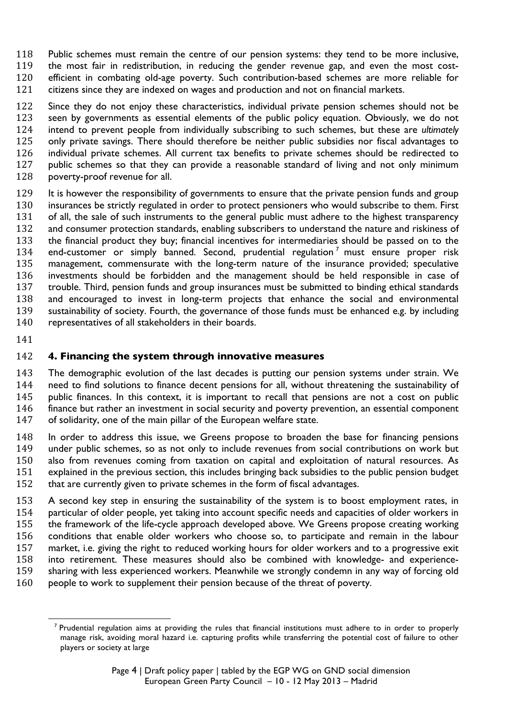Public schemes must remain the centre of our pension systems: they tend to be more inclusive, the most fair in redistribution, in reducing the gender revenue gap, and even the most cost- efficient in combating old-age poverty. Such contribution-based schemes are more reliable for citizens since they are indexed on wages and production and not on financial markets.

 Since they do not enjoy these characteristics, individual private pension schemes should not be seen by governments as essential elements of the public policy equation. Obviously, we do not intend to prevent people from individually subscribing to such schemes, but these are *ultimately*  only private savings. There should therefore be neither public subsidies nor fiscal advantages to individual private schemes. All current tax benefits to private schemes should be redirected to public schemes so that they can provide a reasonable standard of living and not only minimum poverty-proof revenue for all.

 It is however the responsibility of governments to ensure that the private pension funds and group insurances be strictly regulated in order to protect pensioners who would subscribe to them. First of all, the sale of such instruments to the general public must adhere to the highest transparency and consumer protection standards, enabling subscribers to understand the nature and riskiness of the financial product they buy; financial incentives for intermediaries should be passed on to the 134 end-customer or simply banned. Second, prudential regulation<sup>7</sup> must ensure proper risk management, commensurate with the long-term nature of the insurance provided; speculative investments should be forbidden and the management should be held responsible in case of trouble. Third, pension funds and group insurances must be submitted to binding ethical standards and encouraged to invest in long-term projects that enhance the social and environmental sustainability of society. Fourth, the governance of those funds must be enhanced e.g. by including representatives of all stakeholders in their boards.

## **4. Financing the system through innovative measures**

 The demographic evolution of the last decades is putting our pension systems under strain. We need to find solutions to finance decent pensions for all, without threatening the sustainability of public finances. In this context, it is important to recall that pensions are not a cost on public finance but rather an investment in social security and poverty prevention, an essential component of solidarity, one of the main pillar of the European welfare state.

 In order to address this issue, we Greens propose to broaden the base for financing pensions under public schemes, so as not only to include revenues from social contributions on work but also from revenues coming from taxation on capital and exploitation of natural resources. As explained in the previous section, this includes bringing back subsidies to the public pension budget that are currently given to private schemes in the form of fiscal advantages.

 A second key step in ensuring the sustainability of the system is to boost employment rates, in particular of older people, yet taking into account specific needs and capacities of older workers in the framework of the life-cycle approach developed above. We Greens propose creating working conditions that enable older workers who choose so, to participate and remain in the labour market, i.e. giving the right to reduced working hours for older workers and to a progressive exit into retirement. These measures should also be combined with knowledge- and experience- sharing with less experienced workers. Meanwhile we strongly condemn in any way of forcing old people to work to supplement their pension because of the threat of poverty.

<sup>&</sup>quot;""""""""""""""""""""""""""""""""""""""""""""""""""""""  $<sup>7</sup>$  Prudential regulation aims at providing the rules that financial institutions must adhere to in order to properly</sup> manage risk, avoiding moral hazard i.e. capturing profits while transferring the potential cost of failure to other players or society at large